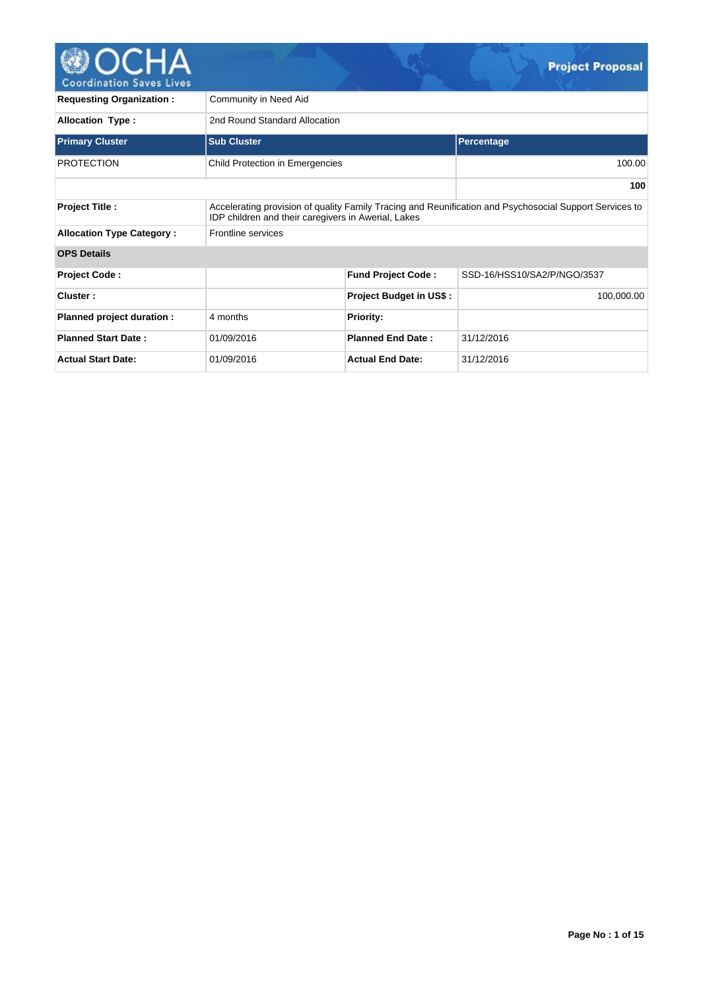

**Requesting Organization : Community in Need Aid** Allocation Type : 2nd Round Standard Allocation **Primary Cluster Contract Contract Sub Cluster Contract Contract Contract Contract Contract Contract Contract Contract Contract Contract Contract Contract Contract Contract Contract Contract Contract Contract Contract Cont** PROTECTION Child Protection in Emergencies 100.00 **100 Project Title :** Accelerating provision of quality Family Tracing and Reunification and Psychosocial Support Services to IDP children and their caregivers in Awerial, Lakes **Allocation Type Category : Frontline services OPS Details Project Code : Fund Project Code :** SSD-16/HSS10/SA2/P/NGO/3537 **Cluster : Project Budget in US\$ :** 100,000.00 **Planned project duration :** 4 months **Planned project duration : 4 months Planned Start Date :** 01/09/2016 **Planned End Date :** 31/12/2016 **Actual Start Date:** 01/09/2016 **Actual End Date:** 31/12/2016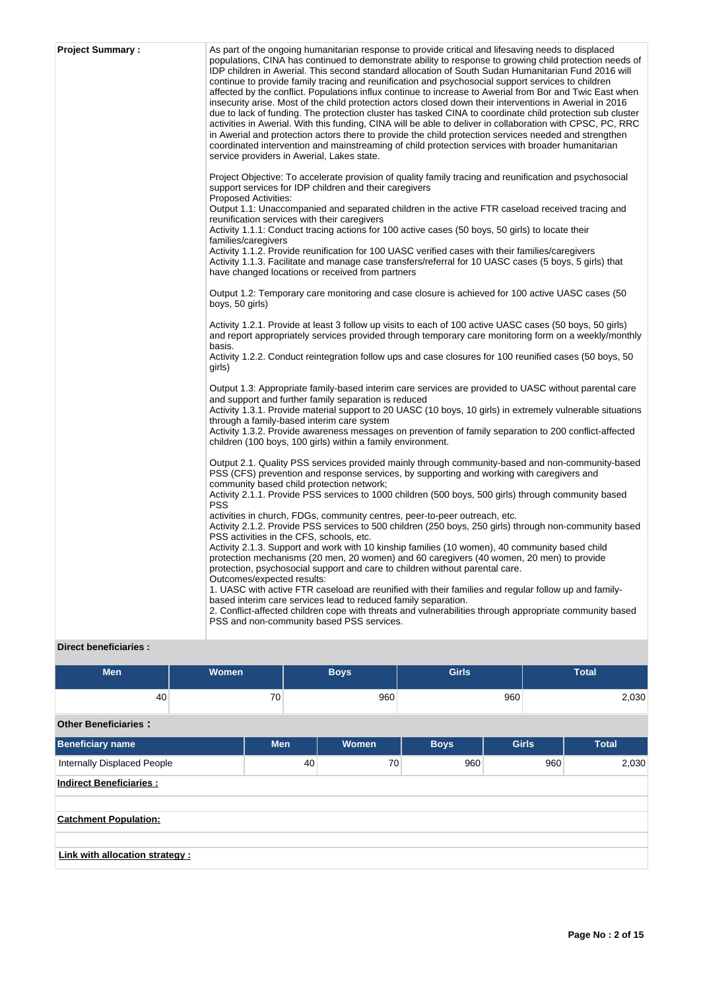| <b>Project Summary:</b> | As part of the ongoing humanitarian response to provide critical and lifesaving needs to displaced<br>populations, CINA has continued to demonstrate ability to response to growing child protection needs of<br>IDP children in Awerial. This second standard allocation of South Sudan Humanitarian Fund 2016 will<br>continue to provide family tracing and reunification and psychosocial support services to children<br>affected by the conflict. Populations influx continue to increase to Awerial from Bor and Twic East when<br>insecurity arise. Most of the child protection actors closed down their interventions in Awerial in 2016<br>due to lack of funding. The protection cluster has tasked CINA to coordinate child protection sub cluster<br>activities in Awerial. With this funding, CINA will be able to deliver in collaboration with CPSC, PC, RRC<br>in Awerial and protection actors there to provide the child protection services needed and strengthen<br>coordinated intervention and mainstreaming of child protection services with broader humanitarian<br>service providers in Awerial, Lakes state. |
|-------------------------|-------------------------------------------------------------------------------------------------------------------------------------------------------------------------------------------------------------------------------------------------------------------------------------------------------------------------------------------------------------------------------------------------------------------------------------------------------------------------------------------------------------------------------------------------------------------------------------------------------------------------------------------------------------------------------------------------------------------------------------------------------------------------------------------------------------------------------------------------------------------------------------------------------------------------------------------------------------------------------------------------------------------------------------------------------------------------------------------------------------------------------------------|
|                         | Project Objective: To accelerate provision of quality family tracing and reunification and psychosocial<br>support services for IDP children and their caregivers<br><b>Proposed Activities:</b><br>Output 1.1: Unaccompanied and separated children in the active FTR caseload received tracing and<br>reunification services with their caregivers<br>Activity 1.1.1: Conduct tracing actions for 100 active cases (50 boys, 50 girls) to locate their<br>families/caregivers<br>Activity 1.1.2. Provide reunification for 100 UASC verified cases with their families/caregivers<br>Activity 1.1.3. Facilitate and manage case transfers/referral for 10 UASC cases (5 boys, 5 girls) that<br>have changed locations or received from partners                                                                                                                                                                                                                                                                                                                                                                                         |
|                         | Output 1.2: Temporary care monitoring and case closure is achieved for 100 active UASC cases (50<br>boys, 50 girls)                                                                                                                                                                                                                                                                                                                                                                                                                                                                                                                                                                                                                                                                                                                                                                                                                                                                                                                                                                                                                       |
|                         | Activity 1.2.1. Provide at least 3 follow up visits to each of 100 active UASC cases (50 boys, 50 girls)<br>and report appropriately services provided through temporary care monitoring form on a weekly/monthly<br>basis.<br>Activity 1.2.2. Conduct reintegration follow ups and case closures for 100 reunified cases (50 boys, 50                                                                                                                                                                                                                                                                                                                                                                                                                                                                                                                                                                                                                                                                                                                                                                                                    |
|                         | girls)<br>Output 1.3: Appropriate family-based interim care services are provided to UASC without parental care<br>and support and further family separation is reduced<br>Activity 1.3.1. Provide material support to 20 UASC (10 boys, 10 girls) in extremely vulnerable situations<br>through a family-based interim care system<br>Activity 1.3.2. Provide awareness messages on prevention of family separation to 200 conflict-affected<br>children (100 boys, 100 girls) within a family environment.                                                                                                                                                                                                                                                                                                                                                                                                                                                                                                                                                                                                                              |
|                         | Output 2.1. Quality PSS services provided mainly through community-based and non-community-based<br>PSS (CFS) prevention and response services, by supporting and working with caregivers and<br>community based child protection network;<br>Activity 2.1.1. Provide PSS services to 1000 children (500 boys, 500 girls) through community based<br><b>PSS</b><br>activities in church, FDGs, community centres, peer-to-peer outreach, etc.<br>Activity 2.1.2. Provide PSS services to 500 children (250 boys, 250 girls) through non-community based<br>PSS activities in the CFS, schools, etc.<br>Activity 2.1.3. Support and work with 10 kinship families (10 women), 40 community based child                                                                                                                                                                                                                                                                                                                                                                                                                                     |
|                         | protection mechanisms (20 men, 20 women) and 60 caregivers (40 women, 20 men) to provide<br>protection, psychosocial support and care to children without parental care.<br>Outcomes/expected results:<br>1. UASC with active FTR caseload are reunified with their families and regular follow up and family-<br>based interim care services lead to reduced family separation.<br>2. Conflict-affected children cope with threats and vulnerabilities through appropriate community based<br>PSS and non-community based PSS services.                                                                                                                                                                                                                                                                                                                                                                                                                                                                                                                                                                                                  |

# **Direct beneficiaries :**

| <b>Men</b>                         | <b>Women</b> | <b>Boys</b> |    | <b>Girls</b> |             | <b>Total</b> |     |              |  |  |
|------------------------------------|--------------|-------------|----|--------------|-------------|--------------|-----|--------------|--|--|
| 40                                 |              | 70          |    | 960          |             | 960          |     | 2,030        |  |  |
| <b>Other Beneficiaries:</b>        |              |             |    |              |             |              |     |              |  |  |
| Beneficiary name                   |              | <b>Men</b>  |    | Women        | <b>Boys</b> | <b>Girls</b> |     | <b>Total</b> |  |  |
| <b>Internally Displaced People</b> |              |             | 40 | 70           | 960         |              | 960 | 2,030        |  |  |
| <b>Indirect Beneficiaries:</b>     |              |             |    |              |             |              |     |              |  |  |
|                                    |              |             |    |              |             |              |     |              |  |  |
| <b>Catchment Population:</b>       |              |             |    |              |             |              |     |              |  |  |
| Link with allocation strategy :    |              |             |    |              |             |              |     |              |  |  |
|                                    |              |             |    |              |             |              |     |              |  |  |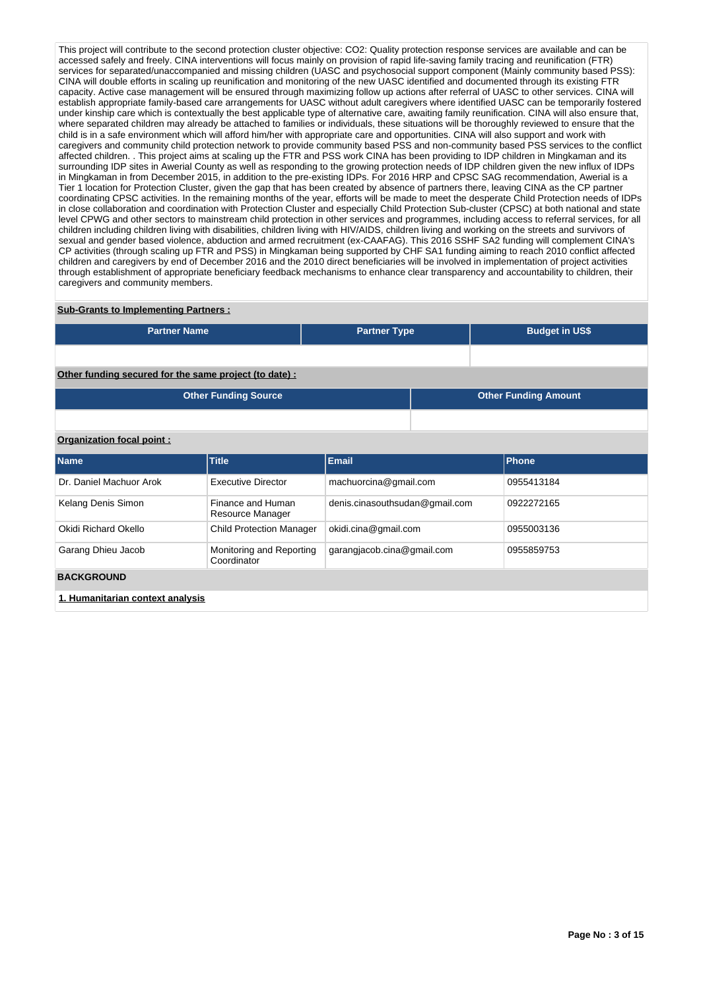This project will contribute to the second protection cluster objective: CO2: Quality protection response services are available and can be accessed safely and freely. CINA interventions will focus mainly on provision of rapid life-saving family tracing and reunification (FTR) services for separated/unaccompanied and missing children (UASC and psychosocial support component (Mainly community based PSS): CINA will double efforts in scaling up reunification and monitoring of the new UASC identified and documented through its existing FTR capacity. Active case management will be ensured through maximizing follow up actions after referral of UASC to other services. CINA will establish appropriate family-based care arrangements for UASC without adult caregivers where identified UASC can be temporarily fostered under kinship care which is contextually the best applicable type of alternative care, awaiting family reunification. CINA will also ensure that, where separated children may already be attached to families or individuals, these situations will be thoroughly reviewed to ensure that the child is in a safe environment which will afford him/her with appropriate care and opportunities. CINA will also support and work with caregivers and community child protection network to provide community based PSS and non-community based PSS services to the conflict affected children. . This project aims at scaling up the FTR and PSS work CINA has been providing to IDP children in Mingkaman and its surrounding IDP sites in Awerial County as well as responding to the growing protection needs of IDP children given the new influx of IDPs in Mingkaman in from December 2015, in addition to the pre-existing IDPs. For 2016 HRP and CPSC SAG recommendation, Awerial is a Tier 1 location for Protection Cluster, given the gap that has been created by absence of partners there, leaving CINA as the CP partner coordinating CPSC activities. In the remaining months of the year, efforts will be made to meet the desperate Child Protection needs of IDPs in close collaboration and coordination with Protection Cluster and especially Child Protection Sub-cluster (CPSC) at both national and state level CPWG and other sectors to mainstream child protection in other services and programmes, including access to referral services, for all children including children living with disabilities, children living with HIV/AIDS, children living and working on the streets and survivors of sexual and gender based violence, abduction and armed recruitment (ex-CAAFAG). This 2016 SSHF SA2 funding will complement CINA's CP activities (through scaling up FTR and PSS) in Mingkaman being supported by CHF SA1 funding aiming to reach 2010 conflict affected children and caregivers by end of December 2016 and the 2010 direct beneficiaries will be involved in implementation of project activities through establishment of appropriate beneficiary feedback mechanisms to enhance clear transparency and accountability to children, their caregivers and community members.

#### **Sub-Grants to Implementing Partners :**

| <b>Partner Name</b>                                   | <b>Partner Type</b> | <b>Budget in US\$</b>       |
|-------------------------------------------------------|---------------------|-----------------------------|
|                                                       |                     |                             |
| Other funding secured for the same project (to date): |                     |                             |
| <b>Other Funding Source</b>                           |                     | <b>Other Funding Amount</b> |

### **Organization focal point :**

| <b>Name</b>                      | <b>Title</b>                            | Email                          | Phone      |
|----------------------------------|-----------------------------------------|--------------------------------|------------|
| Dr. Daniel Machuor Arok          | <b>Executive Director</b>               | machuorcina@gmail.com          | 0955413184 |
| Kelang Denis Simon               | Finance and Human<br>Resource Manager   | denis.cinasouthsudan@gmail.com | 0922272165 |
| Okidi Richard Okello             | <b>Child Protection Manager</b>         | okidi.cina@gmail.com           | 0955003136 |
| Garang Dhieu Jacob               | Monitoring and Reporting<br>Coordinator | garangjacob.cina@gmail.com     | 0955859753 |
| <b>BACKGROUND</b>                |                                         |                                |            |
| 1. Humanitarian context analysis |                                         |                                |            |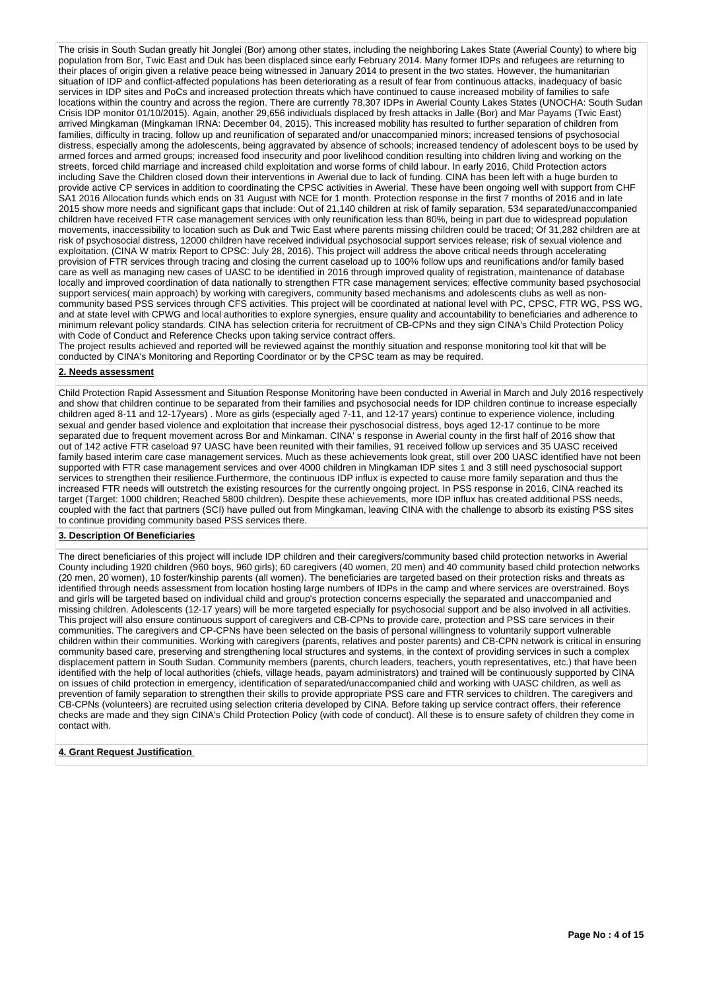The crisis in South Sudan greatly hit Jonglei (Bor) among other states, including the neighboring Lakes State (Awerial County) to where big population from Bor, Twic East and Duk has been displaced since early February 2014. Many former IDPs and refugees are returning to their places of origin given a relative peace being witnessed in January 2014 to present in the two states. However, the humanitarian situation of IDP and conflict-affected populations has been deteriorating as a result of fear from continuous attacks, inadequacy of basic services in IDP sites and PoCs and increased protection threats which have continued to cause increased mobility of families to safe locations within the country and across the region. There are currently 78,307 IDPs in Awerial County Lakes States (UNOCHA: South Sudan Crisis IDP monitor 01/10/2015). Again, another 29,656 individuals displaced by fresh attacks in Jalle (Bor) and Mar Payams (Twic East) arrived Mingkaman (Mingkaman IRNA: December 04, 2015). This increased mobility has resulted to further separation of children from families, difficulty in tracing, follow up and reunification of separated and/or unaccompanied minors; increased tensions of psychosocial distress, especially among the adolescents, being aggravated by absence of schools; increased tendency of adolescent boys to be used by armed forces and armed groups; increased food insecurity and poor livelihood condition resulting into children living and working on the streets, forced child marriage and increased child exploitation and worse forms of child labour. In early 2016, Child Protection actors including Save the Children closed down their interventions in Awerial due to lack of funding. CINA has been left with a huge burden to provide active CP services in addition to coordinating the CPSC activities in Awerial. These have been ongoing well with support from CHF SA1 2016 Allocation funds which ends on 31 August with NCE for 1 month. Protection response in the first 7 months of 2016 and in late 2015 show more needs and significant gaps that include: Out of 21,140 children at risk of family separation, 534 separated/unaccompanied children have received FTR case management services with only reunification less than 80%, being in part due to widespread population movements, inaccessibility to location such as Duk and Twic East where parents missing children could be traced; Of 31,282 children are at risk of psychosocial distress, 12000 children have received individual psychosocial support services release; risk of sexual violence and exploitation. (CINA W matrix Report to CPSC: July 28, 2016). This project will address the above critical needs through accelerating provision of FTR services through tracing and closing the current caseload up to 100% follow ups and reunifications and/or family based care as well as managing new cases of UASC to be identified in 2016 through improved quality of registration, maintenance of database locally and improved coordination of data nationally to strengthen FTR case management services; effective community based psychosocial support services( main approach) by working with caregivers, community based mechanisms and adolescents clubs as well as noncommunity based PSS services through CFS activities. This project will be coordinated at national level with PC, CPSC, FTR WG, PSS WG, and at state level with CPWG and local authorities to explore synergies, ensure quality and accountability to beneficiaries and adherence to minimum relevant policy standards. CINA has selection criteria for recruitment of CB-CPNs and they sign CINA's Child Protection Policy with Code of Conduct and Reference Checks upon taking service contract offers.

The project results achieved and reported will be reviewed against the monthly situation and response monitoring tool kit that will be conducted by CINA's Monitoring and Reporting Coordinator or by the CPSC team as may be required.

### **2. Needs assessment**

Child Protection Rapid Assessment and Situation Response Monitoring have been conducted in Awerial in March and July 2016 respectively and show that children continue to be separated from their families and psychosocial needs for IDP children continue to increase especially children aged 8-11 and 12-17years) . More as girls (especially aged 7-11, and 12-17 years) continue to experience violence, including sexual and gender based violence and exploitation that increase their pyschosocial distress, boys aged 12-17 continue to be more separated due to frequent movement across Bor and Minkaman. CINA's response in Awerial county in the first half of 2016 show that out of 142 active FTR caseload 97 UASC have been reunited with their families, 91 received follow up services and 35 UASC received family based interim care case management services. Much as these achievements look great, still over 200 UASC identified have not been supported with FTR case management services and over 4000 children in Mingkaman IDP sites 1 and 3 still need pyschosocial support services to strengthen their resilience.Furthermore, the continuous IDP influx is expected to cause more family separation and thus the increased FTR needs will outstretch the existing resources for the currently ongoing project. In PSS response in 2016, CINA reached its target (Target: 1000 children; Reached 5800 children). Despite these achievements, more IDP influx has created additional PSS needs, coupled with the fact that partners (SCI) have pulled out from Mingkaman, leaving CINA with the challenge to absorb its existing PSS sites to continue providing community based PSS services there.

### **3. Description Of Beneficiaries**

The direct beneficiaries of this project will include IDP children and their caregivers/community based child protection networks in Awerial County including 1920 children (960 boys, 960 girls); 60 caregivers (40 women, 20 men) and 40 community based child protection networks (20 men, 20 women), 10 foster/kinship parents (all women). The beneficiaries are targeted based on their protection risks and threats as identified through needs assessment from location hosting large numbers of IDPs in the camp and where services are overstrained. Boys and girls will be targeted based on individual child and group's protection concerns especially the separated and unaccompanied and missing children. Adolescents (12-17 years) will be more targeted especially for psychosocial support and be also involved in all activities. This project will also ensure continuous support of caregivers and CB-CPNs to provide care, protection and PSS care services in their communities. The caregivers and CP-CPNs have been selected on the basis of personal willingness to voluntarily support vulnerable children within their communities. Working with caregivers (parents, relatives and poster parents) and CB-CPN network is critical in ensuring community based care, preserving and strengthening local structures and systems, in the context of providing services in such a complex displacement pattern in South Sudan. Community members (parents, church leaders, teachers, youth representatives, etc.) that have been identified with the help of local authorities (chiefs, village heads, payam administrators) and trained will be continuously supported by CINA on issues of child protection in emergency, identification of separated/unaccompanied child and working with UASC children, as well as prevention of family separation to strengthen their skills to provide appropriate PSS care and FTR services to children. The caregivers and CB-CPNs (volunteers) are recruited using selection criteria developed by CINA. Before taking up service contract offers, their reference checks are made and they sign CINA's Child Protection Policy (with code of conduct). All these is to ensure safety of children they come in contact with.

### **4. Grant Request Justification**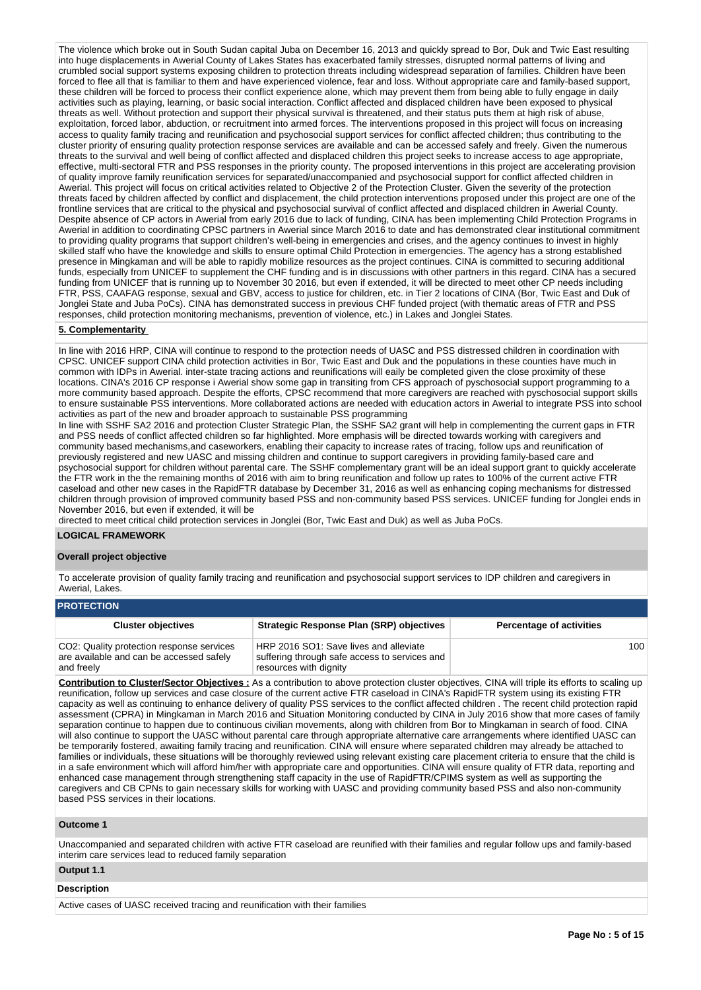The violence which broke out in South Sudan capital Juba on December 16, 2013 and quickly spread to Bor, Duk and Twic East resulting into huge displacements in Awerial County of Lakes States has exacerbated family stresses, disrupted normal patterns of living and crumbled social support systems exposing children to protection threats including widespread separation of families. Children have been forced to flee all that is familiar to them and have experienced violence, fear and loss. Without appropriate care and family-based support, these children will be forced to process their conflict experience alone, which may prevent them from being able to fully engage in daily activities such as playing, learning, or basic social interaction. Conflict affected and displaced children have been exposed to physical threats as well. Without protection and support their physical survival is threatened, and their status puts them at high risk of abuse, exploitation, forced labor, abduction, or recruitment into armed forces. The interventions proposed in this project will focus on increasing access to quality family tracing and reunification and psychosocial support services for conflict affected children; thus contributing to the cluster priority of ensuring quality protection response services are available and can be accessed safely and freely. Given the numerous threats to the survival and well being of conflict affected and displaced children this project seeks to increase access to age appropriate, effective, multi-sectoral FTR and PSS responses in the priority county. The proposed interventions in this project are accelerating provision of quality improve family reunification services for separated/unaccompanied and psychosocial support for conflict affected children in Awerial. This project will focus on critical activities related to Objective 2 of the Protection Cluster. Given the severity of the protection threats faced by children affected by conflict and displacement, the child protection interventions proposed under this project are one of the frontline services that are critical to the physical and psychosocial survival of conflict affected and displaced children in Awerial County. Despite absence of CP actors in Awerial from early 2016 due to lack of funding, CINA has been implementing Child Protection Programs in Awerial in addition to coordinating CPSC partners in Awerial since March 2016 to date and has demonstrated clear institutional commitment to providing quality programs that support children's well-being in emergencies and crises, and the agency continues to invest in highly skilled staff who have the knowledge and skills to ensure optimal Child Protection in emergencies. The agency has a strong established presence in Mingkaman and will be able to rapidly mobilize resources as the project continues. CINA is committed to securing additional funds, especially from UNICEF to supplement the CHF funding and is in discussions with other partners in this regard. CINA has a secured funding from UNICEF that is running up to November 30 2016, but even if extended, it will be directed to meet other CP needs including FTR, PSS, CAAFAG response, sexual and GBV, access to justice for children, etc. in Tier 2 locations of CINA (Bor, Twic East and Duk of Jonglei State and Juba PoCs). CINA has demonstrated success in previous CHF funded project (with thematic areas of FTR and PSS responses, child protection monitoring mechanisms, prevention of violence, etc.) in Lakes and Jonglei States.

#### **5. Complementarity**

In line with 2016 HRP, CINA will continue to respond to the protection needs of UASC and PSS distressed children in coordination with CPSC. UNICEF support CINA child protection activities in Bor, Twic East and Duk and the populations in these counties have much in common with IDPs in Awerial. inter-state tracing actions and reunifications will eaily be completed given the close proximity of these locations. CINA's 2016 CP response i Awerial show some gap in transiting from CFS approach of pyschosocial support programming to a more community based approach. Despite the efforts, CPSC recommend that more caregivers are reached with pyschosocial support skills to ensure sustainable PSS interventions. More collaborated actions are needed with education actors in Awerial to integrate PSS into school activities as part of the new and broader approach to sustainable PSS programming

In line with SSHF SA2 2016 and protection Cluster Strategic Plan, the SSHF SA2 grant will help in complementing the current gaps in FTR and PSS needs of conflict affected children so far highlighted. More emphasis will be directed towards working with caregivers and community based mechanisms,and caseworkers, enabling their capacity to increase rates of tracing, follow ups and reunification of previously registered and new UASC and missing children and continue to support caregivers in providing family-based care and psychosocial support for children without parental care. The SSHF complementary grant will be an ideal support grant to quickly accelerate the FTR work in the the remaining months of 2016 with aim to bring reunification and follow up rates to 100% of the current active FTR caseload and other new cases in the RapidFTR database by December 31, 2016 as well as enhancing coping mechanisms for distressed children through provision of improved community based PSS and non-community based PSS services. UNICEF funding for Jonglei ends in November 2016, but even if extended, it will be

directed to meet critical child protection services in Jonglei (Bor, Twic East and Duk) as well as Juba PoCs.

### **LOGICAL FRAMEWORK**

#### **Overall project objective**

To accelerate provision of quality family tracing and reunification and psychosocial support services to IDP children and caregivers in Awerial, Lakes.

#### **PROTECTION Cluster objectives Strategic Response Plan (SRP) objectives Percentage of activities** CO2: Quality protection response services are available and can be accessed safely and freely HRP 2016 SO1: Save lives and alleviate suffering through safe access to services and resources with dignity 100

**Contribution to Cluster/Sector Objectives :** As a contribution to above protection cluster objectives, CINA will triple its efforts to scaling up reunification, follow up services and case closure of the current active FTR caseload in CINA's RapidFTR system using its existing FTR capacity as well as continuing to enhance delivery of quality PSS services to the conflict affected children . The recent child protection rapid assessment (CPRA) in Mingkaman in March 2016 and Situation Monitoring conducted by CINA in July 2016 show that more cases of family separation continue to happen due to continuous civilian movements, along with children from Bor to Mingkaman in search of food. CINA will also continue to support the UASC without parental care through appropriate alternative care arrangements where identified UASC can be temporarily fostered, awaiting family tracing and reunification. CINA will ensure where separated children may already be attached to families or individuals, these situations will be thoroughly reviewed using relevant existing care placement criteria to ensure that the child is in a safe environment which will afford him/her with appropriate care and opportunities. CINA will ensure quality of FTR data, reporting and enhanced case management through strengthening staff capacity in the use of RapidFTR/CPIMS system as well as supporting the caregivers and CB CPNs to gain necessary skills for working with UASC and providing community based PSS and also non-community based PSS services in their locations.

### **Outcome 1**

Unaccompanied and separated children with active FTR caseload are reunified with their families and regular follow ups and family-based interim care services lead to reduced family separation

#### **Output 1.1**

#### **Description**

Active cases of UASC received tracing and reunification with their families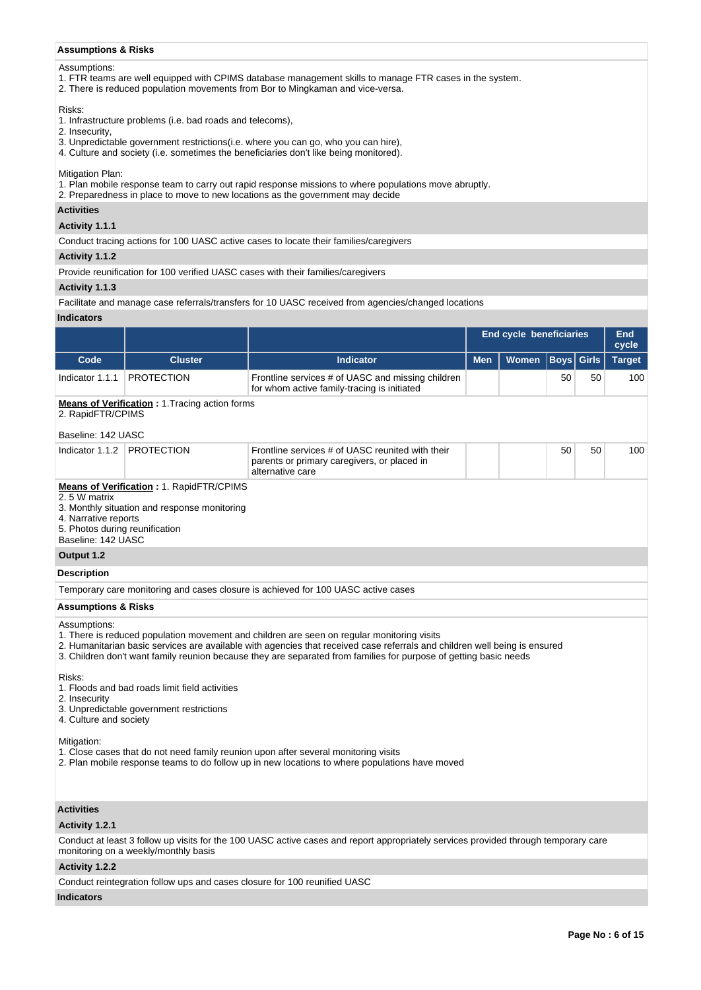### **Assumptions & Risks**

### Assumptions:

- 1. FTR teams are well equipped with CPIMS database management skills to manage FTR cases in the system.
- 2. There is reduced population movements from Bor to Mingkaman and vice-versa.

### Risks:

- 1. Infrastructure problems (i.e. bad roads and telecoms),
- 2. Insecurity,
- 3. Unpredictable government restrictions(i.e. where you can go, who you can hire),
- 4. Culture and society (i.e. sometimes the beneficiaries don't like being monitored).

### Mitigation Plan:

- 1. Plan mobile response team to carry out rapid response missions to where populations move abruptly.
- 2. Preparedness in place to move to new locations as the government may decide

### **Activities**

# **Activity 1.1.1**

Conduct tracing actions for 100 UASC active cases to locate their families/caregivers

### **Activity 1.1.2**

Provide reunification for 100 verified UASC cases with their families/caregivers

### **Activity 1.1.3**

Facilitate and manage case referrals/transfers for 10 UASC received from agencies/changed locations

## **Indicators**

|                                                                                                                                                                                                      |                                                                                                 |                                                                                                                                                                                                                                                                                                                                               |            | <b>End cycle beneficiaries</b> |          | <b>End</b><br>cycle  |               |  |  |
|------------------------------------------------------------------------------------------------------------------------------------------------------------------------------------------------------|-------------------------------------------------------------------------------------------------|-----------------------------------------------------------------------------------------------------------------------------------------------------------------------------------------------------------------------------------------------------------------------------------------------------------------------------------------------|------------|--------------------------------|----------|----------------------|---------------|--|--|
| Code                                                                                                                                                                                                 | <b>Cluster</b>                                                                                  | <b>Indicator</b>                                                                                                                                                                                                                                                                                                                              | <b>Men</b> | <b>Women</b>                   |          | <b>Girls</b><br>Boys | <b>Target</b> |  |  |
| Indicator 1.1.1                                                                                                                                                                                      | <b>PROTECTION</b>                                                                               | Frontline services # of UASC and missing children<br>for whom active family-tracing is initiated                                                                                                                                                                                                                                              |            |                                | 50<br>50 |                      | 100           |  |  |
| 2. RapidFTR/CPIMS                                                                                                                                                                                    | <b>Means of Verification: 1. Tracing action forms</b>                                           |                                                                                                                                                                                                                                                                                                                                               |            |                                |          |                      |               |  |  |
|                                                                                                                                                                                                      |                                                                                                 |                                                                                                                                                                                                                                                                                                                                               |            |                                |          |                      |               |  |  |
| Baseline: 142 UASC<br>Indicator 1.1.2                                                                                                                                                                | <b>PROTECTION</b>                                                                               | Frontline services # of UASC reunited with their                                                                                                                                                                                                                                                                                              |            |                                | 50       | 50                   | 100           |  |  |
|                                                                                                                                                                                                      |                                                                                                 | parents or primary caregivers, or placed in<br>alternative care                                                                                                                                                                                                                                                                               |            |                                |          |                      |               |  |  |
| 2.5 W matrix<br>4. Narrative reports<br>5. Photos during reunification<br>Baseline: 142 UASC                                                                                                         | <b>Means of Verification: 1. RapidFTR/CPIMS</b><br>3. Monthly situation and response monitoring |                                                                                                                                                                                                                                                                                                                                               |            |                                |          |                      |               |  |  |
| Output 1.2                                                                                                                                                                                           |                                                                                                 |                                                                                                                                                                                                                                                                                                                                               |            |                                |          |                      |               |  |  |
| <b>Description</b>                                                                                                                                                                                   |                                                                                                 |                                                                                                                                                                                                                                                                                                                                               |            |                                |          |                      |               |  |  |
|                                                                                                                                                                                                      |                                                                                                 | Temporary care monitoring and cases closure is achieved for 100 UASC active cases                                                                                                                                                                                                                                                             |            |                                |          |                      |               |  |  |
| <b>Assumptions &amp; Risks</b>                                                                                                                                                                       |                                                                                                 |                                                                                                                                                                                                                                                                                                                                               |            |                                |          |                      |               |  |  |
| Assumptions:                                                                                                                                                                                         |                                                                                                 | 1. There is reduced population movement and children are seen on regular monitoring visits<br>2. Humanitarian basic services are available with agencies that received case referrals and children well being is ensured<br>3. Children don't want family reunion because they are separated from families for purpose of getting basic needs |            |                                |          |                      |               |  |  |
| Risks:<br>2. Insecurity<br>4. Culture and society                                                                                                                                                    | 1. Floods and bad roads limit field activities<br>3. Unpredictable government restrictions      |                                                                                                                                                                                                                                                                                                                                               |            |                                |          |                      |               |  |  |
| Mitigation:<br>1. Close cases that do not need family reunion upon after several monitoring visits<br>2. Plan mobile response teams to do follow up in new locations to where populations have moved |                                                                                                 |                                                                                                                                                                                                                                                                                                                                               |            |                                |          |                      |               |  |  |
| <b>Activities</b>                                                                                                                                                                                    |                                                                                                 |                                                                                                                                                                                                                                                                                                                                               |            |                                |          |                      |               |  |  |
| Activity 1.2.1                                                                                                                                                                                       |                                                                                                 |                                                                                                                                                                                                                                                                                                                                               |            |                                |          |                      |               |  |  |
|                                                                                                                                                                                                      | monitoring on a weekly/monthly basis                                                            | Conduct at least 3 follow up visits for the 100 UASC active cases and report appropriately services provided through temporary care                                                                                                                                                                                                           |            |                                |          |                      |               |  |  |
| Activity 1.2.2                                                                                                                                                                                       |                                                                                                 |                                                                                                                                                                                                                                                                                                                                               |            |                                |          |                      |               |  |  |
|                                                                                                                                                                                                      |                                                                                                 | Conduct reintegration follow ups and cases closure for 100 reunified UASC                                                                                                                                                                                                                                                                     |            |                                |          |                      |               |  |  |

#### **Indicators**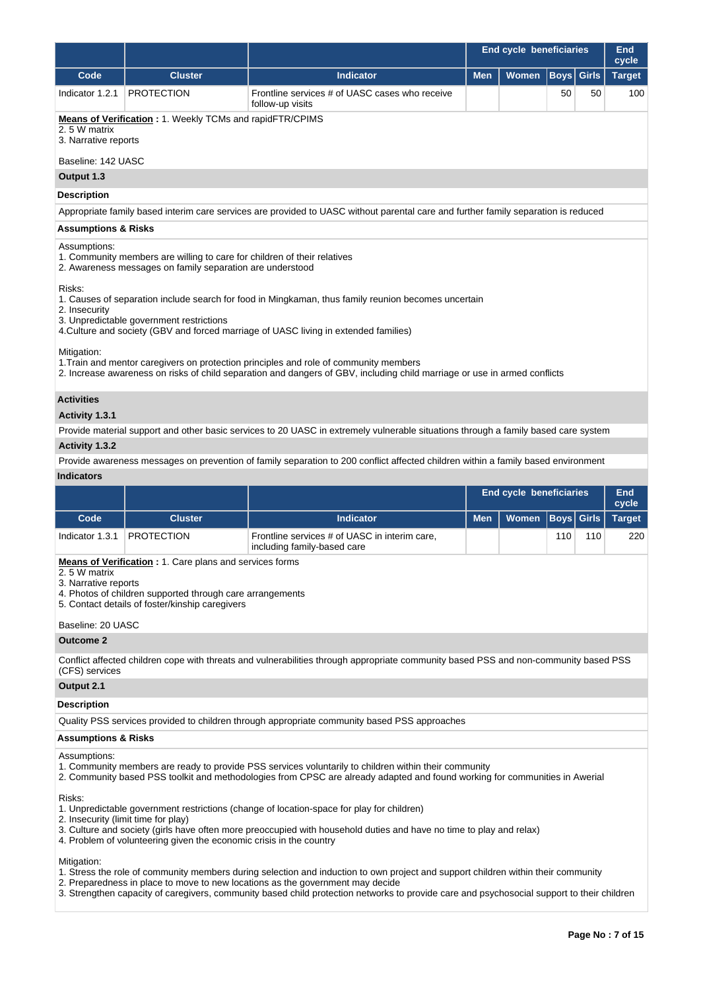|                                                                                                                                                                                                                                                                                   |                                                                                                                                                                                 |                                                                                                                                                                                                                    | <b>End cycle beneficiaries</b> | End<br>cycle                   |             |              |               |  |  |  |  |
|-----------------------------------------------------------------------------------------------------------------------------------------------------------------------------------------------------------------------------------------------------------------------------------|---------------------------------------------------------------------------------------------------------------------------------------------------------------------------------|--------------------------------------------------------------------------------------------------------------------------------------------------------------------------------------------------------------------|--------------------------------|--------------------------------|-------------|--------------|---------------|--|--|--|--|
| Code                                                                                                                                                                                                                                                                              | <b>Cluster</b>                                                                                                                                                                  | <b>Indicator</b>                                                                                                                                                                                                   | <b>Men</b>                     | <b>Women</b>                   | <b>Boys</b> | <b>Girls</b> | <b>Target</b> |  |  |  |  |
| Indicator 1.2.1                                                                                                                                                                                                                                                                   | <b>PROTECTION</b>                                                                                                                                                               | Frontline services # of UASC cases who receive<br>follow-up visits                                                                                                                                                 |                                |                                | 50          | 50           | 100           |  |  |  |  |
| 2.5 W matrix<br>3. Narrative reports<br>Baseline: 142 UASC                                                                                                                                                                                                                        | <b>Means of Verification: 1. Weekly TCMs and rapidFTR/CPIMS</b>                                                                                                                 |                                                                                                                                                                                                                    |                                |                                |             |              |               |  |  |  |  |
| Output 1.3                                                                                                                                                                                                                                                                        |                                                                                                                                                                                 |                                                                                                                                                                                                                    |                                |                                |             |              |               |  |  |  |  |
|                                                                                                                                                                                                                                                                                   |                                                                                                                                                                                 |                                                                                                                                                                                                                    |                                |                                |             |              |               |  |  |  |  |
| <b>Description</b><br>Appropriate family based interim care services are provided to UASC without parental care and further family separation is reduced                                                                                                                          |                                                                                                                                                                                 |                                                                                                                                                                                                                    |                                |                                |             |              |               |  |  |  |  |
| <b>Assumptions &amp; Risks</b>                                                                                                                                                                                                                                                    |                                                                                                                                                                                 |                                                                                                                                                                                                                    |                                |                                |             |              |               |  |  |  |  |
| Assumptions:<br>1. Community members are willing to care for children of their relatives<br>2. Awareness messages on family separation are understood                                                                                                                             |                                                                                                                                                                                 |                                                                                                                                                                                                                    |                                |                                |             |              |               |  |  |  |  |
| Risks:<br>1. Causes of separation include search for food in Mingkaman, thus family reunion becomes uncertain<br>2. Insecurity<br>3. Unpredictable government restrictions<br>4. Culture and society (GBV and forced marriage of UASC living in extended families)<br>Mitigation: |                                                                                                                                                                                 |                                                                                                                                                                                                                    |                                |                                |             |              |               |  |  |  |  |
|                                                                                                                                                                                                                                                                                   |                                                                                                                                                                                 | 1. Train and mentor caregivers on protection principles and role of community members<br>2. Increase awareness on risks of child separation and dangers of GBV, including child marriage or use in armed conflicts |                                |                                |             |              |               |  |  |  |  |
| <b>Activities</b>                                                                                                                                                                                                                                                                 |                                                                                                                                                                                 |                                                                                                                                                                                                                    |                                |                                |             |              |               |  |  |  |  |
| Activity 1.3.1                                                                                                                                                                                                                                                                    |                                                                                                                                                                                 |                                                                                                                                                                                                                    |                                |                                |             |              |               |  |  |  |  |
|                                                                                                                                                                                                                                                                                   |                                                                                                                                                                                 | Provide material support and other basic services to 20 UASC in extremely vulnerable situations through a family based care system                                                                                 |                                |                                |             |              |               |  |  |  |  |
| <b>Activity 1.3.2</b>                                                                                                                                                                                                                                                             |                                                                                                                                                                                 |                                                                                                                                                                                                                    |                                |                                |             |              |               |  |  |  |  |
|                                                                                                                                                                                                                                                                                   |                                                                                                                                                                                 | Provide awareness messages on prevention of family separation to 200 conflict affected children within a family based environment                                                                                  |                                |                                |             |              |               |  |  |  |  |
| <b>Indicators</b>                                                                                                                                                                                                                                                                 |                                                                                                                                                                                 |                                                                                                                                                                                                                    |                                |                                |             |              | <b>End</b>    |  |  |  |  |
|                                                                                                                                                                                                                                                                                   |                                                                                                                                                                                 |                                                                                                                                                                                                                    |                                | <b>End cycle beneficiaries</b> |             |              | cycle         |  |  |  |  |
| Code                                                                                                                                                                                                                                                                              | <b>Cluster</b>                                                                                                                                                                  | <b>Indicator</b>                                                                                                                                                                                                   | <b>Men</b>                     | <b>Women</b>                   | <b>Boys</b> | <b>Girls</b> | <b>Target</b> |  |  |  |  |
| Indicator 1.3.1                                                                                                                                                                                                                                                                   | <b>PROTECTION</b>                                                                                                                                                               | Frontline services # of UASC in interim care,<br>including family-based care                                                                                                                                       |                                |                                | 110         | 110          | 220           |  |  |  |  |
| 2.5 W matrix<br>3. Narrative reports                                                                                                                                                                                                                                              | <b>Means of Verification</b> : 1. Care plans and services forms<br>4. Photos of children supported through care arrangements<br>5. Contact details of foster/kinship caregivers |                                                                                                                                                                                                                    |                                |                                |             |              |               |  |  |  |  |

Baseline: 20 UASC

**Outcome 2**

Conflict affected children cope with threats and vulnerabilities through appropriate community based PSS and non-community based PSS (CFS) services

### **Output 2.1**

**Description**

Quality PSS services provided to children through appropriate community based PSS approaches

### **Assumptions & Risks**

#### Assumptions:

- 1. Community members are ready to provide PSS services voluntarily to children within their community
- 2. Community based PSS toolkit and methodologies from CPSC are already adapted and found working for communities in Awerial

Risks:

- 1. Unpredictable government restrictions (change of location-space for play for children)
- 2. Insecurity (limit time for play)
- 3. Culture and society (girls have often more preoccupied with household duties and have no time to play and relax)
- 4. Problem of volunteering given the economic crisis in the country

Mitigation:

- 1. Stress the role of community members during selection and induction to own project and support children within their community
- 2. Preparedness in place to move to new locations as the government may decide
- 3. Strengthen capacity of caregivers, community based child protection networks to provide care and psychosocial support to their children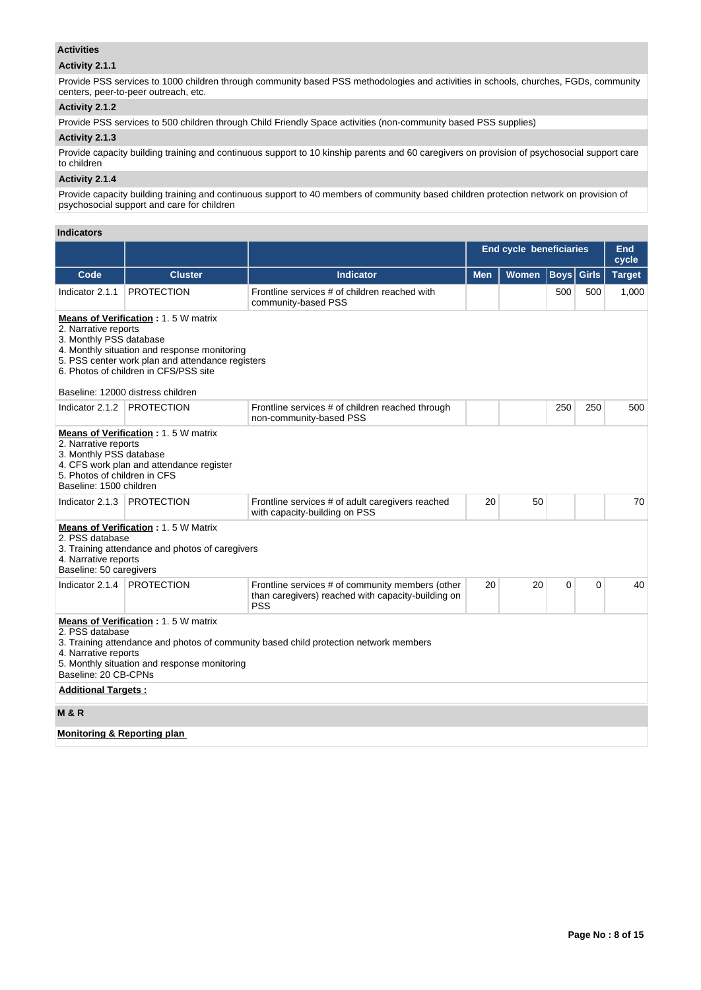### **Activities**

## **Activity 2.1.1**

Provide PSS services to 1000 children through community based PSS methodologies and activities in schools, churches, FGDs, community centers, peer-to-peer outreach, etc.

## **Activity 2.1.2**

Provide PSS services to 500 children through Child Friendly Space activities (non-community based PSS supplies)

## **Activity 2.1.3**

Provide capacity building training and continuous support to 10 kinship parents and 60 caregivers on provision of psychosocial support care to children

### **Activity 2.1.4**

Provide capacity building training and continuous support to 40 members of community based children protection network on provision of psychosocial support and care for children

### **Indicators**

|                                                                                                                                                                     |                                                                                                                                                                                                                              |                                                                                                                      |            | <b>End cycle beneficiaries</b> |                   |          | End<br>cycle  |  |
|---------------------------------------------------------------------------------------------------------------------------------------------------------------------|------------------------------------------------------------------------------------------------------------------------------------------------------------------------------------------------------------------------------|----------------------------------------------------------------------------------------------------------------------|------------|--------------------------------|-------------------|----------|---------------|--|
| Code                                                                                                                                                                | <b>Cluster</b>                                                                                                                                                                                                               | <b>Indicator</b>                                                                                                     | <b>Men</b> | <b>Women</b>                   | <b>Boys</b> Girls |          | <b>Target</b> |  |
| Indicator 2.1.1                                                                                                                                                     | <b>PROTECTION</b>                                                                                                                                                                                                            | Frontline services # of children reached with<br>community-based PSS                                                 |            |                                | 500               | 500      | 1,000         |  |
| 2. Narrative reports<br>3. Monthly PSS database                                                                                                                     | <b>Means of Verification: 1.5 W matrix</b><br>4. Monthly situation and response monitoring<br>5. PSS center work plan and attendance registers<br>6. Photos of children in CFS/PSS site<br>Baseline: 12000 distress children |                                                                                                                      |            |                                |                   |          |               |  |
| Indicator 2.1.2                                                                                                                                                     | <b>PROTECTION</b>                                                                                                                                                                                                            | Frontline services # of children reached through<br>non-community-based PSS                                          |            |                                | 250               | 250      | 500           |  |
| 2. Narrative reports<br>3. Monthly PSS database<br>5. Photos of children in CFS<br>Baseline: 1500 children                                                          | <b>Means of Verification: 1.5 W matrix</b><br>4. CFS work plan and attendance register                                                                                                                                       |                                                                                                                      |            |                                |                   |          |               |  |
| Indicator 2.1.3                                                                                                                                                     | <b>PROTECTION</b>                                                                                                                                                                                                            | Frontline services # of adult caregivers reached<br>with capacity-building on PSS                                    | 20         | 50                             |                   |          | 70            |  |
| <b>Means of Verification: 1.5 W Matrix</b><br>2. PSS database<br>3. Training attendance and photos of caregivers<br>4. Narrative reports<br>Baseline: 50 caregivers |                                                                                                                                                                                                                              |                                                                                                                      |            |                                |                   |          |               |  |
| Indicator 2.1.4                                                                                                                                                     | <b>PROTECTION</b>                                                                                                                                                                                                            | Frontline services # of community members (other<br>than caregivers) reached with capacity-building on<br><b>PSS</b> | 20         | 20                             | 0                 | $\Omega$ | 40            |  |
| 2. PSS database<br>4. Narrative reports<br>Baseline: 20 CB-CPNs<br><b>Additional Targets:</b>                                                                       | <b>Means of Verification: 1.5 W matrix</b><br>5. Monthly situation and response monitoring                                                                                                                                   | 3. Training attendance and photos of community based child protection network members                                |            |                                |                   |          |               |  |
| <b>M &amp; R</b>                                                                                                                                                    |                                                                                                                                                                                                                              |                                                                                                                      |            |                                |                   |          |               |  |
| <b>Monitoring &amp; Reporting plan</b>                                                                                                                              |                                                                                                                                                                                                                              |                                                                                                                      |            |                                |                   |          |               |  |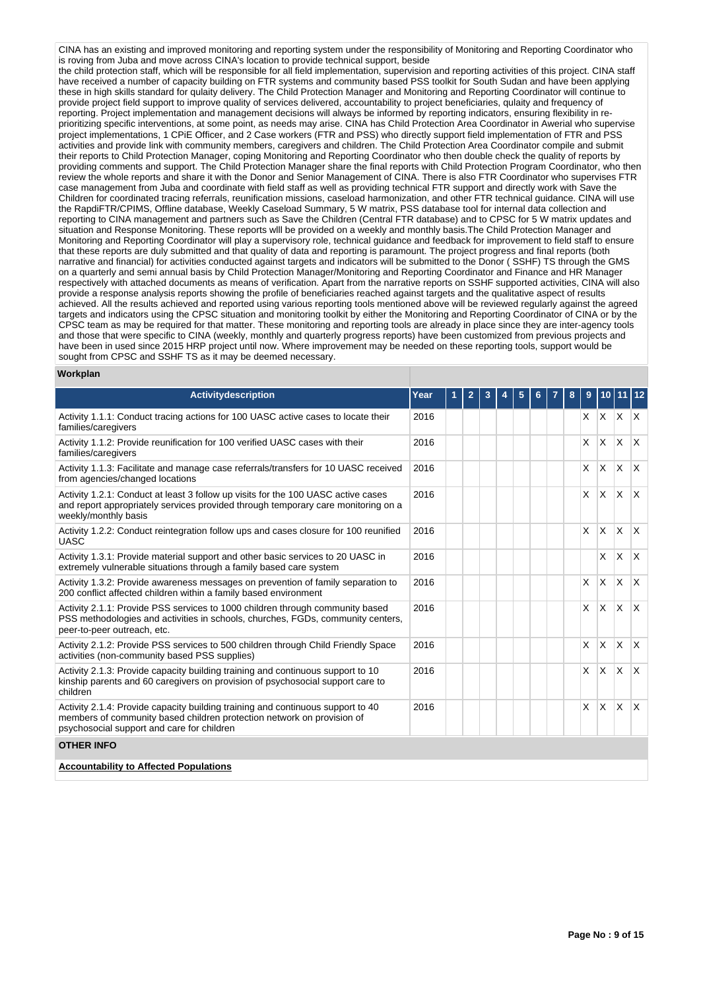CINA has an existing and improved monitoring and reporting system under the responsibility of Monitoring and Reporting Coordinator who is roving from Juba and move across CINA's location to provide technical support, beside the child protection staff, which will be responsible for all field implementation, supervision and reporting activities of this project. CINA staff have received a number of capacity building on FTR systems and community based PSS toolkit for South Sudan and have been applying these in high skills standard for qulaity delivery. The Child Protection Manager and Monitoring and Reporting Coordinator will continue to provide project field support to improve quality of services delivered, accountability to project beneficiaries, qulaity and frequency of reporting. Project implementation and management decisions will always be informed by reporting indicators, ensuring flexibility in reprioritizing specific interventions, at some point, as needs may arise. CINA has Child Protection Area Coordinator in Awerial who supervise project implementations, 1 CPiE Officer, and 2 Case workers (FTR and PSS) who directly support field implementation of FTR and PSS activities and provide link with community members, caregivers and children. The Child Protection Area Coordinator compile and submit their reports to Child Protection Manager, coping Monitoring and Reporting Coordinator who then double check the quality of reports by providing comments and support. The Child Protection Manager share the final reports with Child Protection Program Coordinator, who then review the whole reports and share it with the Donor and Senior Management of CINA. There is also FTR Coordinator who supervises FTR case management from Juba and coordinate with field staff as well as providing technical FTR support and directly work with Save the Children for coordinated tracing referrals, reunification missions, caseload harmonization, and other FTR technical guidance. CINA will use the RapdiFTR/CPIMS, Offline database, Weekly Caseload Summary, 5 W matrix, PSS database tool for internal data collection and reporting to CINA management and partners such as Save the Children (Central FTR database) and to CPSC for 5 W matrix updates and situation and Response Monitoring. These reports wlll be provided on a weekly and monthly basis.The Child Protection Manager and Monitoring and Reporting Coordinator will play a supervisory role, technical guidance and feedback for improvement to field staff to ensure that these reports are duly submitted and that quality of data and reporting is paramount. The project progress and final reports (both narrative and financial) for activities conducted against targets and indicators will be submitted to the Donor ( SSHF) TS through the GMS on a quarterly and semi annual basis by Child Protection Manager/Monitoring and Reporting Coordinator and Finance and HR Manager respectively with attached documents as means of verification. Apart from the narrative reports on SSHF supported activities, CINA will also provide a response analysis reports showing the profile of beneficiaries reached against targets and the qualitative aspect of results achieved. All the results achieved and reported using various reporting tools mentioned above will be reviewed regularly against the agreed targets and indicators using the CPSC situation and monitoring toolkit by either the Monitoring and Reporting Coordinator of CINA or by the CPSC team as may be required for that matter. These monitoring and reporting tools are already in place since they are inter-agency tools and those that were specific to CINA (weekly, monthly and quarterly progress reports) have been customized from previous projects and have been in used since 2015 HRP project until now. Where improvement may be needed on these reporting tools, support would be sought from CPSC and SSHF TS as it may be deemed necessary.

#### **Workplan**

| <b>Activitydescription</b>                                                                                                                                                                              | Year | 1 | $\overline{2}$ | 3 | 4 | 5 | 6 | 8 | 9            |              | 10 11 12     |              |
|---------------------------------------------------------------------------------------------------------------------------------------------------------------------------------------------------------|------|---|----------------|---|---|---|---|---|--------------|--------------|--------------|--------------|
| Activity 1.1.1: Conduct tracing actions for 100 UASC active cases to locate their<br>families/caregivers                                                                                                | 2016 |   |                |   |   |   |   |   | X.           |              | $x \times x$ |              |
| Activity 1.1.2: Provide reunification for 100 verified UASC cases with their<br>families/caregivers                                                                                                     | 2016 |   |                |   |   |   |   |   | $\times$     | X.           | $x \mid x$   |              |
| Activity 1.1.3: Facilitate and manage case referrals/transfers for 10 UASC received<br>from agencies/changed locations                                                                                  | 2016 |   |                |   |   |   |   |   | X            | <b>X</b>     | X            |              |
| Activity 1.2.1: Conduct at least 3 follow up visits for the 100 UASC active cases<br>and report appropriately services provided through temporary care monitoring on a<br>weekly/monthly basis          | 2016 |   |                |   |   |   |   |   | $\times$     |              | $x \times x$ |              |
| Activity 1.2.2: Conduct reintegration follow ups and cases closure for 100 reunified<br><b>UASC</b>                                                                                                     | 2016 |   |                |   |   |   |   |   | X            | <b>X</b>     | $\mathsf{X}$ | $\mathsf{X}$ |
| Activity 1.3.1: Provide material support and other basic services to 20 UASC in<br>extremely vulnerable situations through a family based care system                                                   | 2016 |   |                |   |   |   |   |   |              | X.           | $\mathsf{X}$ | $\mathsf{X}$ |
| Activity 1.3.2: Provide awareness messages on prevention of family separation to<br>200 conflict affected children within a family based environment                                                    | 2016 |   |                |   |   |   |   |   | $\times$     | $\times$     | $\mathsf{X}$ | $\mathsf{X}$ |
| Activity 2.1.1: Provide PSS services to 1000 children through community based<br>PSS methodologies and activities in schools, churches, FGDs, community centers,<br>peer-to-peer outreach, etc.         | 2016 |   |                |   |   |   |   |   | $\times$     | <b>X</b>     | $\mathsf{X}$ | $\mathsf{X}$ |
| Activity 2.1.2: Provide PSS services to 500 children through Child Friendly Space<br>activities (non-community based PSS supplies)                                                                      | 2016 |   |                |   |   |   |   |   | $\mathsf{x}$ | <b>X</b>     | <b>X</b>     | $\mathsf{X}$ |
| Activity 2.1.3: Provide capacity building training and continuous support to 10<br>kinship parents and 60 caregivers on provision of psychosocial support care to<br>children                           | 2016 |   |                |   |   |   |   |   | X            | <b>X</b>     | $\mathsf{X}$ | $\mathsf{X}$ |
| Activity 2.1.4: Provide capacity building training and continuous support to 40<br>members of community based children protection network on provision of<br>psychosocial support and care for children | 2016 |   |                |   |   |   |   |   | $\times$     | $\mathsf{X}$ | $\mathsf{x}$ | $\mathsf{X}$ |
| <b>OTHER INFO</b>                                                                                                                                                                                       |      |   |                |   |   |   |   |   |              |              |              |              |
| <b>Accountability to Affected Populations</b>                                                                                                                                                           |      |   |                |   |   |   |   |   |              |              |              |              |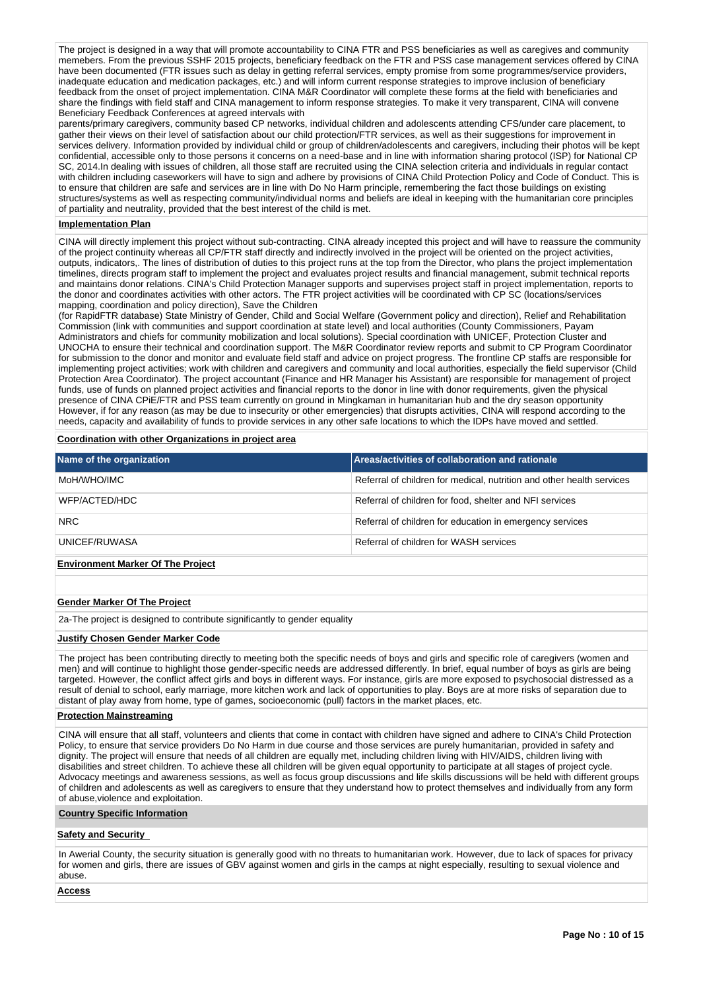The project is designed in a way that will promote accountability to CINA FTR and PSS beneficiaries as well as caregives and community memebers. From the previous SSHF 2015 projects, beneficiary feedback on the FTR and PSS case management services offered by CINA have been documented (FTR issues such as delay in getting referral services, empty promise from some programmes/service providers, inadequate education and medication packages, etc.) and will inform current response strategies to improve inclusion of beneficiary feedback from the onset of project implementation. CINA M&R Coordinator will complete these forms at the field with beneficiaries and share the findings with field staff and CINA management to inform response strategies. To make it very transparent, CINA will convene Beneficiary Feedback Conferences at agreed intervals with

parents/primary caregivers, community based CP networks, individual children and adolescents attending CFS/under care placement, to gather their views on their level of satisfaction about our child protection/FTR services, as well as their suggestions for improvement in services delivery. Information provided by individual child or group of children/adolescents and caregivers, including their photos will be kept confidential, accessible only to those persons it concerns on a need-base and in line with information sharing protocol (ISP) for National CP SC, 2014.In dealing with issues of children, all those staff are recruited using the CINA selection criteria and individuals in regular contact with children including caseworkers will have to sign and adhere by provisions of CINA Child Protection Policy and Code of Conduct. This is to ensure that children are safe and services are in line with Do No Harm principle, remembering the fact those buildings on existing structures/systems as well as respecting community/individual norms and beliefs are ideal in keeping with the humanitarian core principles of partiality and neutrality, provided that the best interest of the child is met.

#### **Implementation Plan**

CINA will directly implement this project without sub-contracting. CINA already incepted this project and will have to reassure the community of the project continuity whereas all CP/FTR staff directly and indirectly involved in the project will be oriented on the project activities, outputs, indicators,. The lines of distribution of duties to this project runs at the top from the Director, who plans the project implementation timelines, directs program staff to implement the project and evaluates project results and financial management, submit technical reports and maintains donor relations. CINA's Child Protection Manager supports and supervises project staff in project implementation, reports to the donor and coordinates activities with other actors. The FTR project activities will be coordinated with CP SC (locations/services mapping, coordination and policy direction), Save the Children

(for RapidFTR database) State Ministry of Gender, Child and Social Welfare (Government policy and direction), Relief and Rehabilitation Commission (link with communities and support coordination at state level) and local authorities (County Commissioners, Payam Administrators and chiefs for community mobilization and local solutions). Special coordination with UNICEF, Protection Cluster and UNOCHA to ensure their technical and coordination support. The M&R Coordinator review reports and submit to CP Program Coordinator for submission to the donor and monitor and evaluate field staff and advice on project progress. The frontline CP staffs are responsible for implementing project activities; work with children and caregivers and community and local authorities, especially the field supervisor (Child Protection Area Coordinator). The project accountant (Finance and HR Manager his Assistant) are responsible for management of project funds, use of funds on planned project activities and financial reports to the donor in line with donor requirements, given the physical presence of CINA CPiE/FTR and PSS team currently on ground in Mingkaman in humanitarian hub and the dry season opportunity However, if for any reason (as may be due to insecurity or other emergencies) that disrupts activities, CINA will respond according to the needs, capacity and availability of funds to provide services in any other safe locations to which the IDPs have moved and settled.

#### **Coordination with other Organizations in project area**

| Name of the organization                 | <b>Areas/activities of collaboration and rationale</b>                |
|------------------------------------------|-----------------------------------------------------------------------|
| MoH/WHO/IMC                              | Referral of children for medical, nutrition and other health services |
| WFP/ACTED/HDC                            | Referral of children for food, shelter and NFI services               |
| <b>NRC</b>                               | Referral of children for education in emergency services              |
| UNICEF/RUWASA                            | Referral of children for WASH services                                |
| <b>Environment Marker Of The Project</b> |                                                                       |

### **Gender Marker Of The Project**

2a-The project is designed to contribute significantly to gender equality

#### **Justify Chosen Gender Marker Code**

The project has been contributing directly to meeting both the specific needs of boys and girls and specific role of caregivers (women and men) and will continue to highlight those gender-specific needs are addressed differently. In brief, equal number of boys as girls are being targeted. However, the conflict affect girls and boys in different ways. For instance, girls are more exposed to psychosocial distressed as a result of denial to school, early marriage, more kitchen work and lack of opportunities to play. Boys are at more risks of separation due to distant of play away from home, type of games, socioeconomic (pull) factors in the market places, etc.

#### **Protection Mainstreaming**

CINA will ensure that all staff, volunteers and clients that come in contact with children have signed and adhere to CINA's Child Protection Policy, to ensure that service providers Do No Harm in due course and those services are purely humanitarian, provided in safety and dignity. The project will ensure that needs of all children are equally met, including children living with HIV/AIDS, children living with disabilities and street children. To achieve these all children will be given equal opportunity to participate at all stages of project cycle. Advocacy meetings and awareness sessions, as well as focus group discussions and life skills discussions will be held with different groups of children and adolescents as well as caregivers to ensure that they understand how to protect themselves and individually from any form of abuse,violence and exploitation.

#### **Country Specific Information**

#### **Safety and Security**

In Awerial County, the security situation is generally good with no threats to humanitarian work. However, due to lack of spaces for privacy for women and girls, there are issues of GBV against women and girls in the camps at night especially, resulting to sexual violence and abuse.

#### **Access**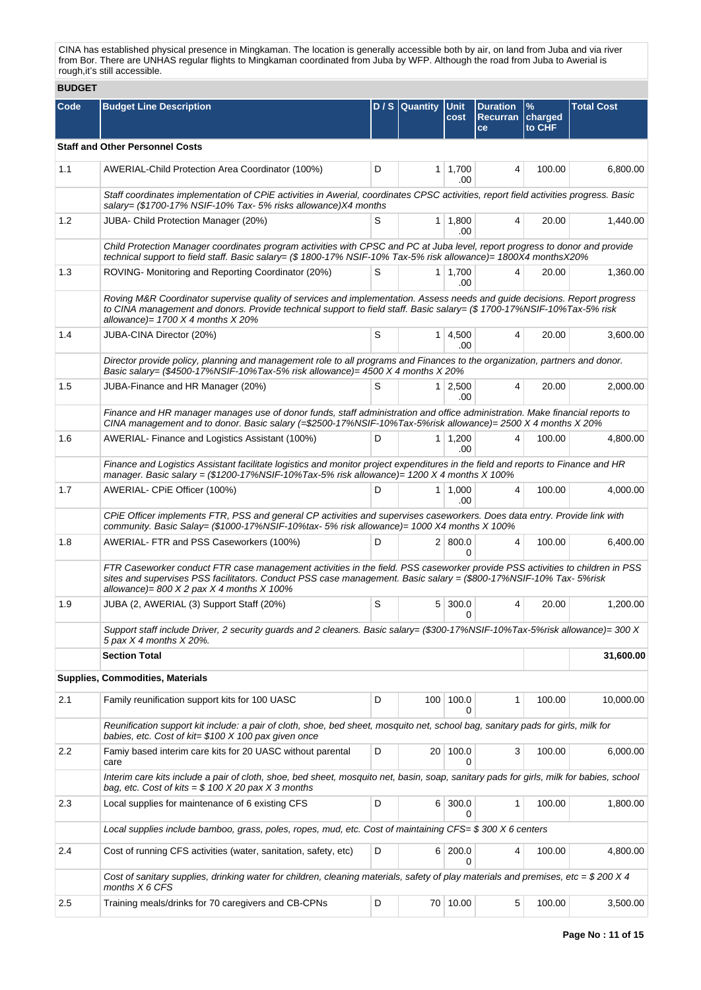CINA has established physical presence in Mingkaman. The location is generally accessible both by air, on land from Juba and via river from Bor. There are UNHAS regular flights to Mingkaman coordinated from Juba by WFP. Although the road from Juba to Awerial is rough,it's still accessible.

# **BUDGET**

| <b>BUDGEI</b> |                                                                                                                                                                                                                                                                                                      |   |                  |                       |                                          |                        |                   |  |  |  |  |
|---------------|------------------------------------------------------------------------------------------------------------------------------------------------------------------------------------------------------------------------------------------------------------------------------------------------------|---|------------------|-----------------------|------------------------------------------|------------------------|-------------------|--|--|--|--|
| Code          | <b>Budget Line Description</b>                                                                                                                                                                                                                                                                       |   | $D / S$ Quantity | <b>Unit</b><br>cost   | <b>Duration</b><br><b>Recurran</b><br>ce | %<br>charged<br>to CHF | <b>Total Cost</b> |  |  |  |  |
|               | <b>Staff and Other Personnel Costs</b>                                                                                                                                                                                                                                                               |   |                  |                       |                                          |                        |                   |  |  |  |  |
| 1.1           | AWERIAL-Child Protection Area Coordinator (100%)                                                                                                                                                                                                                                                     | D |                  | $1 \mid 1,700$<br>.00 | 4                                        | 100.00                 | 6,800.00          |  |  |  |  |
|               | Staff coordinates implementation of CPiE activities in Awerial, coordinates CPSC activities, report field activities progress. Basic<br>salary= (\$1700-17% NSIF-10% Tax-5% risks allowance)X4 months                                                                                                |   |                  |                       |                                          |                        |                   |  |  |  |  |
| 1.2           | JUBA- Child Protection Manager (20%)                                                                                                                                                                                                                                                                 | S |                  | $1 \mid 1,800$<br>.00 | 4                                        | 20.00                  | 1,440.00          |  |  |  |  |
|               | Child Protection Manager coordinates program activities with CPSC and PC at Juba level, report progress to donor and provide<br>technical support to field staff. Basic salary= (\$ 1800-17% NSIF-10% Tax-5% risk allowance)= 1800X4 monthsX20%                                                      |   |                  |                       |                                          |                        |                   |  |  |  |  |
| 1.3           | ROVING- Monitoring and Reporting Coordinator (20%)                                                                                                                                                                                                                                                   | S |                  | $1 \mid 1,700$<br>.00 | 4                                        | 20.00                  | 1,360.00          |  |  |  |  |
|               | Roving M&R Coordinator supervise quality of services and implementation. Assess needs and guide decisions. Report progress<br>to CINA management and donors. Provide technical support to field staff. Basic salary= (\$1700-17%NSIF-10%Tax-5% risk<br>allowance) = $1700 X 4$ months $X 20%$        |   |                  |                       |                                          |                        |                   |  |  |  |  |
| 1.4           | JUBA-CINA Director (20%)                                                                                                                                                                                                                                                                             | S |                  | $1 \mid 4,500$<br>.00 | 4                                        | 20.00                  | 3,600.00          |  |  |  |  |
|               | Director provide policy, planning and management role to all programs and Finances to the organization, partners and donor.<br>Basic salary= (\$4500-17%NSIF-10%Tax-5% risk allowance)= $4500$ X 4 months X 20%                                                                                      |   |                  |                       |                                          |                        |                   |  |  |  |  |
| 1.5           | JUBA-Finance and HR Manager (20%)                                                                                                                                                                                                                                                                    | S |                  | $1 \mid 2,500$<br>.00 | 4                                        | 20.00                  | 2,000.00          |  |  |  |  |
|               | Finance and HR manager manages use of donor funds, staff administration and office administration. Make financial reports to<br>CINA management and to donor. Basic salary (=\$2500-17%NSIF-10%Tax-5%risk allowance)= 2500 X 4 months X 20%                                                          |   |                  |                       |                                          |                        |                   |  |  |  |  |
| 1.6           | AWERIAL- Finance and Logistics Assistant (100%)                                                                                                                                                                                                                                                      | D |                  | $1 \mid 1,200$<br>.00 | 4                                        | 100.00                 | 4,800.00          |  |  |  |  |
|               | Finance and Logistics Assistant facilitate logistics and monitor project expenditures in the field and reports to Finance and HR<br>manager. Basic salary = (\$1200-17%NSIF-10%Tax-5% risk allowance)= 1200 X 4 months X 100%                                                                        |   |                  |                       |                                          |                        |                   |  |  |  |  |
| 1.7           | AWERIAL- CPIE Officer (100%)                                                                                                                                                                                                                                                                         | D |                  | $1 \mid 1,000$<br>.00 | 4                                        | 100.00                 | 4,000.00          |  |  |  |  |
|               | CPIE Officer implements FTR, PSS and general CP activities and supervises caseworkers. Does data entry. Provide link with<br>community. Basic Salay= (\$1000-17%NSIF-10%tax- 5% risk allowance)= 1000 X4 months X 100%                                                                               |   |                  |                       |                                          |                        |                   |  |  |  |  |
| 1.8           | AWERIAL- FTR and PSS Caseworkers (100%)                                                                                                                                                                                                                                                              | D |                  | 2   800.0<br>O        | 4                                        | 100.00                 | 6,400.00          |  |  |  |  |
|               | FTR Caseworker conduct FTR case management activities in the field. PSS caseworker provide PSS activities to children in PSS<br>sites and supervises PSS facilitators. Conduct PSS case management. Basic salary = (\$800-17%NSIF-10% Tax-5%risk<br>allowance)= $800 X 2$ pax $X 4$ months $X 100\%$ |   |                  |                       |                                          |                        |                   |  |  |  |  |
| 1.9           | JUBA (2, AWERIAL (3) Support Staff (20%)                                                                                                                                                                                                                                                             | S |                  | 5 300.0<br>0          | 4                                        | 20.00                  | 1,200.00          |  |  |  |  |
|               | Support staff include Driver, 2 security quards and 2 cleaners. Basic salary= (\$300-17%NSIF-10%Tax-5%risk allowance)= 300 X<br>5 pax X 4 months X 20%.                                                                                                                                              |   |                  |                       |                                          |                        |                   |  |  |  |  |
|               | <b>Section Total</b>                                                                                                                                                                                                                                                                                 |   |                  |                       |                                          |                        | 31,600.00         |  |  |  |  |
|               | <b>Supplies, Commodities, Materials</b>                                                                                                                                                                                                                                                              |   |                  |                       |                                          |                        |                   |  |  |  |  |
| 2.1           | Family reunification support kits for 100 UASC                                                                                                                                                                                                                                                       | D |                  | 100 100.0             | 1                                        | 100.00                 | 10.000.00         |  |  |  |  |
|               | Reunification support kit include: a pair of cloth, shoe, bed sheet, mosquito net, school bag, sanitary pads for girls, milk for<br>babies, etc. Cost of kit= $$100 X 100$ pax given once                                                                                                            |   |                  |                       |                                          |                        |                   |  |  |  |  |
| 2.2           | Famiy based interim care kits for 20 UASC without parental<br>care                                                                                                                                                                                                                                   | D |                  | 20 100.0<br>0         | 3                                        | 100.00                 | 6,000.00          |  |  |  |  |
|               | Interim care kits include a pair of cloth, shoe, bed sheet, mosquito net, basin, soap, sanitary pads for girls, milk for babies, school<br>bag, etc. Cost of kits = $$100 X 20$ pax X 3 months                                                                                                       |   |                  |                       |                                          |                        |                   |  |  |  |  |
| 2.3           | Local supplies for maintenance of 6 existing CFS                                                                                                                                                                                                                                                     | D |                  | 6 300.0<br>0          | 1                                        | 100.00                 | 1,800.00          |  |  |  |  |
|               | Local supplies include bamboo, grass, poles, ropes, mud, etc. Cost of maintaining CFS= \$300 X 6 centers                                                                                                                                                                                             |   |                  |                       |                                          |                        |                   |  |  |  |  |
| 2.4           | Cost of running CFS activities (water, sanitation, safety, etc)                                                                                                                                                                                                                                      | D |                  | 6 200.0<br>0          | 4                                        | 100.00                 | 4,800.00          |  |  |  |  |
|               | Cost of sanitary supplies, drinking water for children, cleaning materials, safety of play materials and premises, etc = \$200 X 4<br>months $X$ 6 CFS                                                                                                                                               |   |                  |                       |                                          |                        |                   |  |  |  |  |
| 2.5           | Training meals/drinks for 70 caregivers and CB-CPNs                                                                                                                                                                                                                                                  | D |                  | 70 10.00              | 5                                        | 100.00                 | 3,500.00          |  |  |  |  |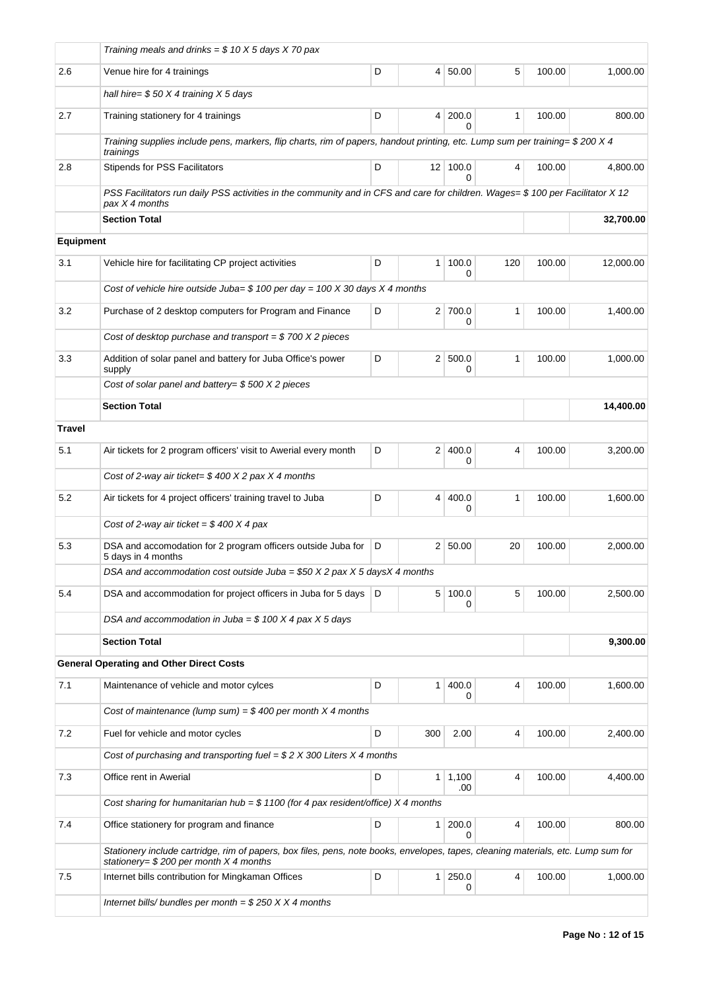|                  | Training meals and drinks = $$10 X5$ days X 70 pax                                                                                                                             |   |                |                            |              |        |           |
|------------------|--------------------------------------------------------------------------------------------------------------------------------------------------------------------------------|---|----------------|----------------------------|--------------|--------|-----------|
| 2.6              | Venue hire for 4 trainings                                                                                                                                                     | D | 4              | 50.00                      | 5            | 100.00 | 1,000.00  |
|                  | hall hire= $$50 X4$ training X 5 days                                                                                                                                          |   |                |                            |              |        |           |
| 2.7              | Training stationery for 4 trainings                                                                                                                                            | D | $\overline{4}$ | 200.0<br>0                 | $\mathbf{1}$ | 100.00 | 800.00    |
|                  | Training supplies include pens, markers, flip charts, rim of papers, handout printing, etc. Lump sum per training= \$200 X 4<br>trainings                                      |   |                |                            |              |        |           |
| 2.8              | <b>Stipends for PSS Facilitators</b>                                                                                                                                           | D |                | $12$ 100.0<br><sup>0</sup> | 4            | 100.00 | 4.800.00  |
|                  | PSS Facilitators run daily PSS activities in the community and in CFS and care for children. Wages= \$100 per Facilitator X12<br>pax X 4 months                                |   |                |                            |              |        |           |
|                  | <b>Section Total</b>                                                                                                                                                           |   |                |                            |              |        | 32,700.00 |
| <b>Equipment</b> |                                                                                                                                                                                |   |                |                            |              |        |           |
| 3.1              | Vehicle hire for facilitating CP project activities                                                                                                                            | D | 1              | 100.0<br>0                 | 120          | 100.00 | 12,000.00 |
|                  | Cost of vehicle hire outside Juba= $$100$ per day = 100 X 30 days X 4 months                                                                                                   |   |                |                            |              |        |           |
| 3.2              | Purchase of 2 desktop computers for Program and Finance                                                                                                                        | D |                | 2 700.0<br>0               | 1            | 100.00 | 1,400.00  |
|                  | Cost of desktop purchase and transport = $$700 X 2$ pieces                                                                                                                     |   |                |                            |              |        |           |
| 3.3              | Addition of solar panel and battery for Juba Office's power<br>supply                                                                                                          | D | 2 <sup>1</sup> | 500.0<br>0                 | 1            | 100.00 | 1,000.00  |
|                  | Cost of solar panel and battery= $$500 X2$ pieces                                                                                                                              |   |                |                            |              |        |           |
|                  | <b>Section Total</b>                                                                                                                                                           |   |                |                            |              |        | 14,400.00 |
| <b>Travel</b>    |                                                                                                                                                                                |   |                |                            |              |        |           |
| 5.1              | Air tickets for 2 program officers' visit to Awerial every month                                                                                                               | D |                | 2 400.0<br>0               | 4            | 100.00 | 3,200.00  |
|                  | Cost of 2-way air ticket= $$400 X 2$ pax X 4 months                                                                                                                            |   |                |                            |              |        |           |
| 5.2              | Air tickets for 4 project officers' training travel to Juba                                                                                                                    | D | $\overline{4}$ | 400.0<br>0                 | $\mathbf{1}$ | 100.00 | 1.600.00  |
|                  | Cost of 2-way air ticket = $$400 X 4$ pax                                                                                                                                      |   |                |                            |              |        |           |
| 5.3              | DSA and accomodation for 2 program officers outside Juba for<br>5 days in 4 months                                                                                             | D |                | 2 50.00                    | 20           | 100.00 | 2,000.00  |
|                  | DSA and accommodation cost outside Juba = \$50 $X$ 2 pax $X$ 5 days $X$ 4 months                                                                                               |   |                |                            |              |        |           |
| 5.4              | DSA and accommodation for project officers in Juba for 5 days                                                                                                                  | D | 5 <sup>2</sup> | 100.0<br>0                 | 5            | 100.00 | 2,500.00  |
|                  | DSA and accommodation in Juba = $$100 X 4$ pax X 5 days                                                                                                                        |   |                |                            |              |        |           |
|                  | <b>Section Total</b>                                                                                                                                                           |   |                |                            |              |        | 9,300.00  |
|                  | <b>General Operating and Other Direct Costs</b>                                                                                                                                |   |                |                            |              |        |           |
| 7.1              | Maintenance of vehicle and motor cylces                                                                                                                                        | D | $\mathbf{1}$   | 400.0<br>0                 | 4            | 100.00 | 1,600.00  |
|                  | Cost of maintenance (lump sum) = $$400$ per month X 4 months                                                                                                                   |   |                |                            |              |        |           |
| 7.2              | Fuel for vehicle and motor cycles                                                                                                                                              | D | 300            | 2.00                       | 4            | 100.00 | 2,400.00  |
|                  | Cost of purchasing and transporting fuel = $$2 X 300$ Liters X 4 months                                                                                                        |   |                |                            |              |        |           |
| 7.3              | Office rent in Awerial                                                                                                                                                         | D |                | $1 \mid 1,100$<br>.00      | 4            | 100.00 | 4,400.00  |
|                  | Cost sharing for humanitarian hub = $$1100$ (for 4 pax resident/office) X 4 months                                                                                             |   |                |                            |              |        |           |
| 7.4              | Office stationery for program and finance                                                                                                                                      | D | 1              | 200.0<br>$\Omega$          | 4            | 100.00 | 800.00    |
|                  | Stationery include cartridge, rim of papers, box files, pens, note books, envelopes, tapes, cleaning materials, etc. Lump sum for<br>stationery= $$200$ per month $X$ 4 months |   |                |                            |              |        |           |
| 7.5              | Internet bills contribution for Mingkaman Offices                                                                                                                              | D | 1 <sup>1</sup> | 250.0<br>0                 | 4            | 100.00 | 1,000.00  |
|                  | Internet bills/ bundles per month = $$250 X X 4$ months                                                                                                                        |   |                |                            |              |        |           |